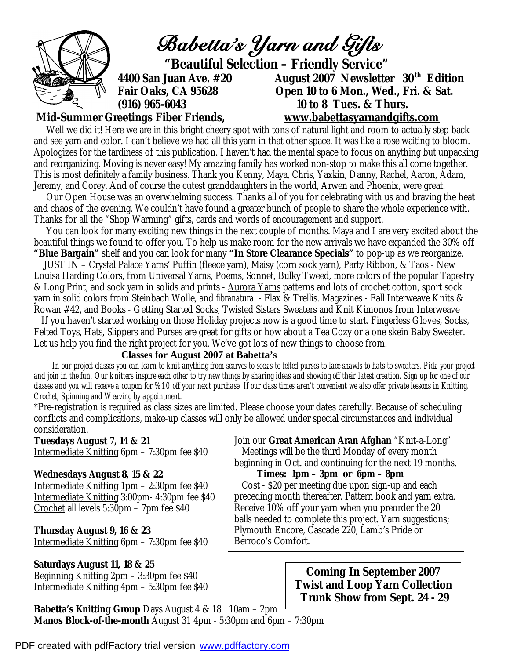

Well we did it! Here we are in this bright cheery spot with tons of natural light and room to actually step back and see yarn and color. I can't believe we had all this yarn in that other space. It was like a rose waiting to bloom. Apologizes for the tardiness of this publication. I haven't had the mental space to focus on anything but unpacking and reorganizing. Moving is never easy! My amazing family has worked non-stop to make this all come together. This is most definitely a family business. Thank you Kenny, Maya, Chris, Yaxkin, Danny, Rachel, Aaron, Adam, Jeremy, and Corey. And of course the cutest granddaughters in the world, Arwen and Phoenix, were great.

 Our Open House was an overwhelming success. Thanks all of you for celebrating with us and braving the heat and chaos of the evening. We couldn't have found a greater bunch of people to share the whole experience with. Thanks for all the "Shop Warming" gifts, cards and words of encouragement and support.

 You can look for many exciting new things in the next couple of months. Maya and I are very excited about the beautiful things we found to offer you. To help us make room for the new arrivals we have expanded the 30% off **"Blue Bargain"** shelf and you can look for many **"In Store Clearance Specials"** to pop-up as we reorganize.

 JUST IN – Crystal Palace Yarns' Puffin (fleece yarn), Maisy (corn sock yarn), Party Ribbon, & Taos - New Louisa Harding Colors, from Universal Yarns, Poems, Sonnet, Bulky Tweed, more colors of the popular Tapestry & Long Print, and sock yarn in solids and prints - Aurora Yarns patterns and lots of crochet cotton, sport sock yarn in solid colors from Steinbach Wolle, and *fibranatura* - Flax & Trellis. Magazines - Fall Interweave Knits & Rowan #42, and Books - Getting Started Socks, Twisted Sisters Sweaters and Knit Kimonos from Interweave

 If you haven't started working on those Holiday projects now is a good time to start. Fingerless Gloves, Socks, Felted Toys, Hats, Slippers and Purses are great for gifts or how about a Tea Cozy or a one skein Baby Sweater. Let us help you find the right project for you. We've got lots of new things to choose from.

### **Classes for August 2007 at Babetta's**

 *In our project classes you can learn to knit anything from scarves to socks to felted purses to lace shawls to hats to sweaters. Pick your project and join in the fun. Our knitters inspire each other to try new things by sharing ideas and showing off their latest creation. Sign up for one of our classes and you will receive a coupon for %10 off your next purchase. If our class times aren't convenient we also offer private lessons in Knitting, Crochet, Spinning and Weaving by appointment.* 

\*Pre-registration is required as class sizes are limited. Please choose your dates carefully. Because of scheduling conflicts and complications, make-up classes will only be allowed under special circumstances and individual consideration.

**Tuesdays August 7, 14 & 21**  Intermediate Knitting 6pm – 7:30pm fee \$40

#### **Wednesdays August 8, 15 & 22**

Intermediate Knitting 1pm – 2:30pm fee \$40 Intermediate Knitting 3:00pm- 4:30pm fee \$40 Crochet all levels 5:30pm – 7pm fee \$40

**Thursday August 9, 16 & 23**  Intermediate Knitting 6pm – 7:30pm fee \$40

**Saturdays August 11, 18 & 25**  Beginning Knitting 2pm – 3:30pm fee \$40 Intermediate Knitting 4pm – 5:30pm fee \$40

**Babetta's Knitting Group** Days August 4 & 18 10am – 2pm **Manos Block-of-the-month** August 31 4pm - 5:30pm and 6pm – 7:30pm

Join our **Great American Aran Afghan** "Knit-a-Long" Meetings will be the third Monday of every month beginning in Oct. and continuing for the next 19 months.

 **Times: 1pm – 3pm or 6pm – 8pm**  Cost - \$20 per meeting due upon sign-up and each preceding month thereafter. Pattern book and yarn extra. Receive 10% off your yarn when you preorder the 20 balls needed to complete this project. Yarn suggestions; Plymouth Encore, Cascade 220, Lamb's Pride or Berroco's Comfort.

> **Coming In September 2007 Twist and Loop Yarn Collection Trunk Show from Sept. 24 - 29**